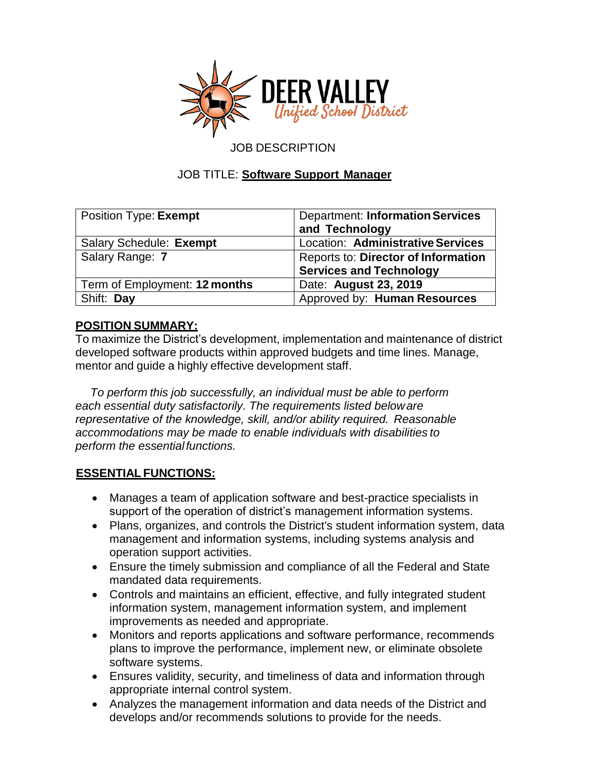

## JOB DESCRIPTION

### JOB TITLE: **Software Support Manager**

| Position Type: Exempt         | <b>Department: Information Services</b><br>and Technology             |
|-------------------------------|-----------------------------------------------------------------------|
| Salary Schedule: Exempt       | Location: Administrative Services                                     |
| Salary Range: 7               | Reports to: Director of Information<br><b>Services and Technology</b> |
| Term of Employment: 12 months | Date: August 23, 2019                                                 |
| Shift: Day                    | Approved by: Human Resources                                          |

## **POSITION SUMMARY:**

To maximize the District's development, implementation and maintenance of district developed software products within approved budgets and time lines. Manage, mentor and guide a highly effective development staff.

*To perform this job successfully, an individual must be able to perform each essential duty satisfactorily. The requirements listed beloware representative of the knowledge, skill, and/or ability required. Reasonable accommodations may be made to enable individuals with disabilities to perform the essentialfunctions.*

#### **ESSENTIAL FUNCTIONS:**

- Manages a team of application software and best-practice specialists in support of the operation of district's management information systems.
- Plans, organizes, and controls the District's student information system, data management and information systems, including systems analysis and operation support activities.
- Ensure the timely submission and compliance of all the Federal and State mandated data requirements.
- Controls and maintains an efficient, effective, and fully integrated student information system, management information system, and implement improvements as needed and appropriate.
- Monitors and reports applications and software performance, recommends plans to improve the performance, implement new, or eliminate obsolete software systems.
- Ensures validity, security, and timeliness of data and information through appropriate internal control system.
- Analyzes the management information and data needs of the District and develops and/or recommends solutions to provide for the needs.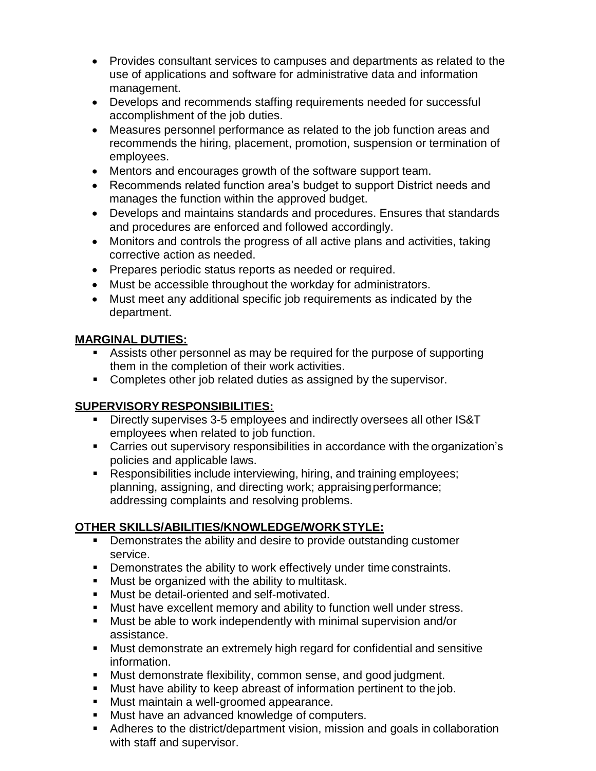- Provides consultant services to campuses and departments as related to the use of applications and software for administrative data and information management.
- Develops and recommends staffing requirements needed for successful accomplishment of the job duties.
- Measures personnel performance as related to the job function areas and recommends the hiring, placement, promotion, suspension or termination of employees.
- Mentors and encourages growth of the software support team.
- Recommends related function area's budget to support District needs and manages the function within the approved budget.
- Develops and maintains standards and procedures. Ensures that standards and procedures are enforced and followed accordingly.
- Monitors and controls the progress of all active plans and activities, taking corrective action as needed.
- Prepares periodic status reports as needed or required.
- Must be accessible throughout the workday for administrators.
- Must meet any additional specific job requirements as indicated by the department.

## **MARGINAL DUTIES:**

- Assists other personnel as may be required for the purpose of supporting them in the completion of their work activities.
- **Completes other job related duties as assigned by the supervisor.**

# **SUPERVISORY RESPONSIBILITIES:**

- Directly supervises 3-5 employees and indirectly oversees all other IS&T employees when related to job function.
- Carries out supervisory responsibilities in accordance with the organization's policies and applicable laws.
- Responsibilities include interviewing, hiring, and training employees; planning, assigning, and directing work; appraisingperformance; addressing complaints and resolving problems.

## **OTHER SKILLS/ABILITIES/KNOWLEDGE/WORKSTYLE:**

- **•** Demonstrates the ability and desire to provide outstanding customer service.
- **•** Demonstrates the ability to work effectively under time constraints.
- **Must be organized with the ability to multitask.**
- **Must be detail-oriented and self-motivated.**
- Must have excellent memory and ability to function well under stress.
- Must be able to work independently with minimal supervision and/or assistance.
- Must demonstrate an extremely high regard for confidential and sensitive information.
- Must demonstrate flexibility, common sense, and good judgment.
- Must have ability to keep abreast of information pertinent to the job.
- **Must maintain a well-groomed appearance.**
- **Must have an advanced knowledge of computers.**
- Adheres to the district/department vision, mission and goals in collaboration with staff and supervisor.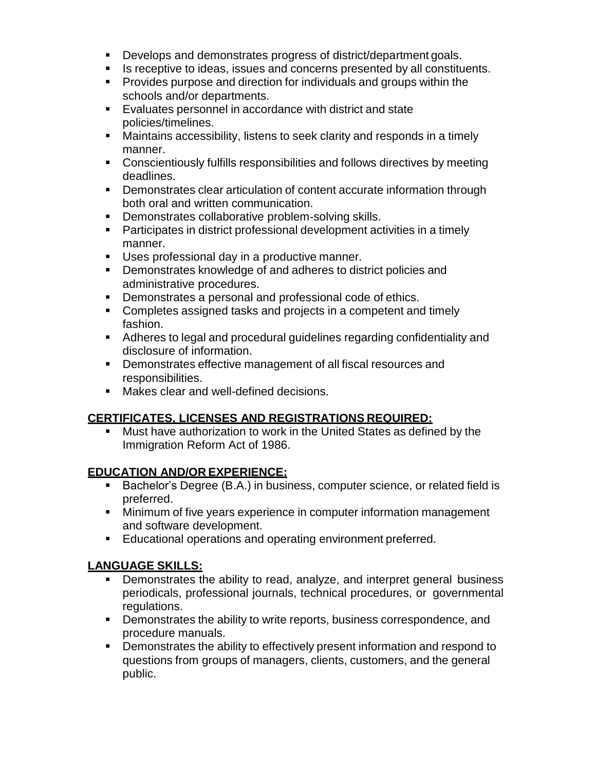- Develops and demonstrates progress of district/department goals.
- If als receptive to ideas, issues and concerns presented by all constituents.
- Provides purpose and direction for individuals and groups within the schools and/or departments.
- Evaluates personnel in accordance with district and state policies/timelines.
- Maintains accessibility, listens to seek clarity and responds in a timely manner.
- Conscientiously fulfills responsibilities and follows directives by meeting deadlines.
- **Demonstrates clear articulation of content accurate information through** both oral and written communication.
- **Demonstrates collaborative problem-solving skills.**
- Participates in district professional development activities in a timely manner.
- **Uses professional day in a productive manner.**
- **Demonstrates knowledge of and adheres to district policies and** administrative procedures.
- **Demonstrates a personal and professional code of ethics.**
- Completes assigned tasks and projects in a competent and timely fashion.
- Adheres to legal and procedural guidelines regarding confidentiality and disclosure of information.
- **Demonstrates effective management of all fiscal resources and** responsibilities.
- **Makes clear and well-defined decisions.**

## **CERTIFICATES, LICENSES AND REGISTRATIONS REQUIRED:**

 Must have authorization to work in the United States as defined by the Immigration Reform Act of 1986.

## **EDUCATION AND/OR EXPERIENCE:**

- Bachelor's Degree (B.A.) in business, computer science, or related field is preferred.
- **Minimum of five years experience in computer information management** and software development.
- **Educational operations and operating environment preferred.**

## **LANGUAGE SKILLS:**

- **Demonstrates the ability to read, analyze, and interpret general business** periodicals, professional journals, technical procedures, or governmental regulations.
- **•** Demonstrates the ability to write reports, business correspondence, and procedure manuals.
- **•** Demonstrates the ability to effectively present information and respond to questions from groups of managers, clients, customers, and the general public.